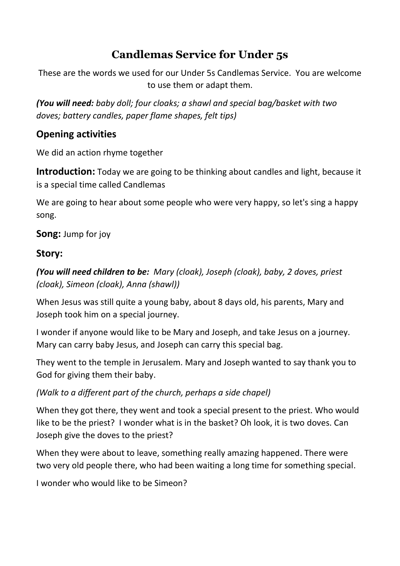# **Candlemas Service for Under 5s**

These are the words we used for our Under 5s Candlemas Service. You are welcome to use them or adapt them.

*(You will need: baby doll; four cloaks; a shawl and special bag/basket with two doves; battery candles, paper flame shapes, felt tips)*

## **Opening activities**

We did an action rhyme together

**Introduction:** Today we are going to be thinking about candles and light, because it is a special time called Candlemas

We are going to hear about some people who were very happy, so let's sing a happy song.

**Song:** Jump for joy

## **Story:**

*(You will need children to be: Mary (cloak), Joseph (cloak), baby, 2 doves, priest (cloak), Simeon (cloak), Anna (shawl))*

When Jesus was still quite a young baby, about 8 days old, his parents, Mary and Joseph took him on a special journey.

I wonder if anyone would like to be Mary and Joseph, and take Jesus on a journey. Mary can carry baby Jesus, and Joseph can carry this special bag.

They went to the temple in Jerusalem. Mary and Joseph wanted to say thank you to God for giving them their baby.

## *(Walk to a different part of the church, perhaps a side chapel)*

When they got there, they went and took a special present to the priest. Who would like to be the priest? I wonder what is in the basket? Oh look, it is two doves. Can Joseph give the doves to the priest?

When they were about to leave, something really amazing happened. There were two very old people there, who had been waiting a long time for something special.

I wonder who would like to be Simeon?